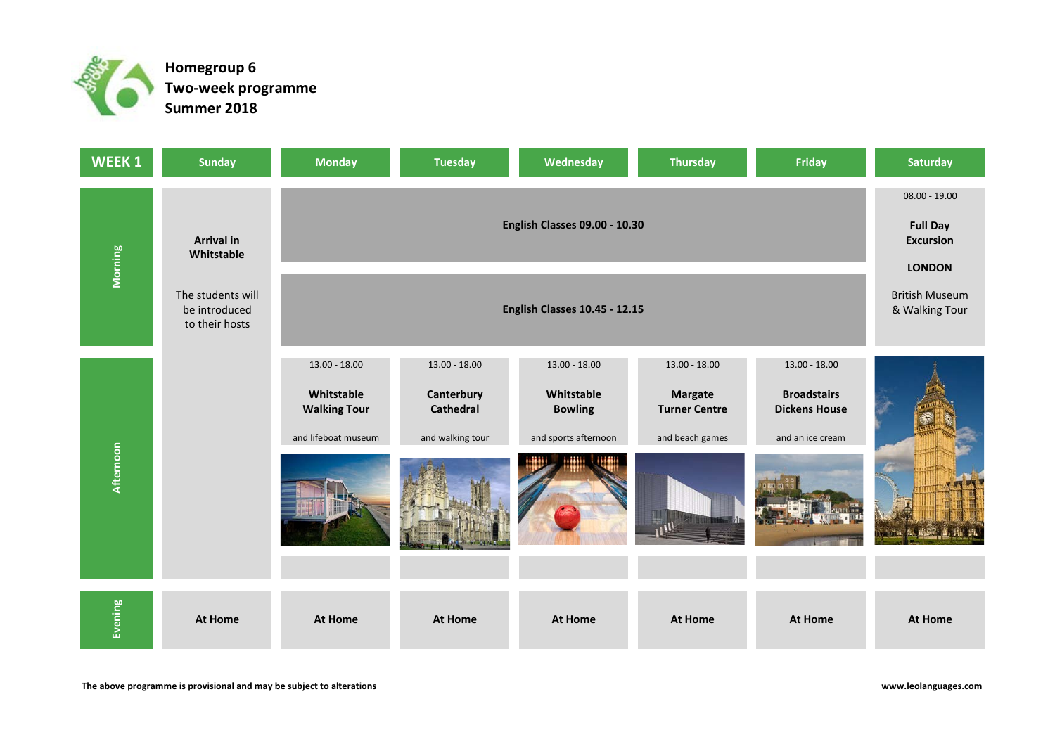

**Two-week programme Homegroup 6 Summer 2018**

| WEEK 1    | <b>Sunday</b>                                        | <b>Monday</b>                                                               | <b>Tuesday</b>                                                        | Wednesday                                                             | <b>Thursday</b>                                                              | Friday                                                                            | <b>Saturday</b> |
|-----------|------------------------------------------------------|-----------------------------------------------------------------------------|-----------------------------------------------------------------------|-----------------------------------------------------------------------|------------------------------------------------------------------------------|-----------------------------------------------------------------------------------|-----------------|
|           | <b>Arrival in</b><br>Whitstable                      |                                                                             | $08.00 - 19.00$<br><b>Full Day</b><br><b>Excursion</b>                |                                                                       |                                                                              |                                                                                   |                 |
| Morning   | The students will<br>be introduced<br>to their hosts |                                                                             | <b>LONDON</b><br><b>British Museum</b><br>& Walking Tour              |                                                                       |                                                                              |                                                                                   |                 |
| Afternoon |                                                      | $13.00 - 18.00$<br>Whitstable<br><b>Walking Tour</b><br>and lifeboat museum | $13.00 - 18.00$<br>Canterbury<br><b>Cathedral</b><br>and walking tour | 13.00 - 18.00<br>Whitstable<br><b>Bowling</b><br>and sports afternoon | $13.00 - 18.00$<br><b>Margate</b><br><b>Turner Centre</b><br>and beach games | $13.00 - 18.00$<br><b>Broadstairs</b><br><b>Dickens House</b><br>and an ice cream |                 |
| Evening   | <b>At Home</b>                                       | <b>At Home</b>                                                              | <b>At Home</b>                                                        | <b>At Home</b>                                                        | <b>At Home</b>                                                               | <b>At Home</b>                                                                    | <b>At Home</b>  |

**www.leolanguages.com**